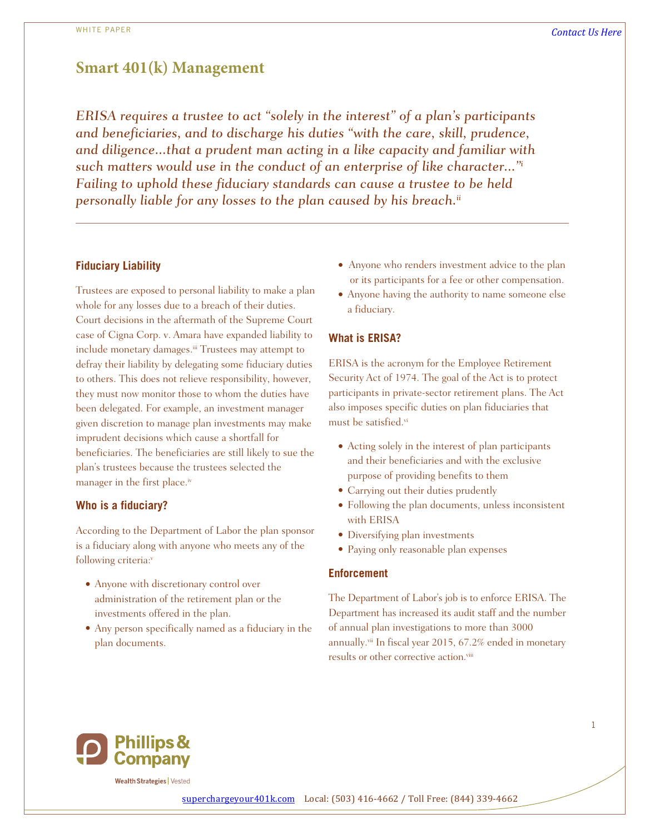1

# **Smart 401(k) Management**

*ERISA requires a trustee to act "solely in the interest" of a plan's participants and beneficiaries, and to discharge his duties "with the care, skill, prudence, and diligence...that a prudent man acting in a like capacity and familiar with such matters would use in the conduct of an enterprise of like character..."<sup>i</sup> Failing to uphold these fiduciary standards can cause a trustee to be held personally liable for any losses to the plan caused by his breach.ii*

#### **Fiduciary Liability**

Trustees are exposed to personal liability to make a plan whole for any losses due to a breach of their duties. Court decisions in the aftermath of the Supreme Court case of Cigna Corp. v. Amara have expanded liability to include monetary damages.<sup>iii</sup> Trustees may attempt to defray their liability by delegating some fiduciary duties to others. This does not relieve responsibility, however, they must now monitor those to whom the duties have been delegated. For example, an investment manager given discretion to manage plan investments may make imprudent decisions which cause a shortfall for beneficiaries. The beneficiaries are still likely to sue the plan's trustees because the trustees selected the manager in the first place.<sup>iv</sup>

### **Who is a fiduciary?**

According to the Department of Labor the plan sponsor is a fiduciary along with anyone who meets any of the following criteria:<sup>v</sup>

- Anyone with discretionary control over administration of the retirement plan or the investments offered in the plan.
- Any person specifically named as a fiduciary in the plan documents.
- Anyone who renders investment advice to the plan or its participants for a fee or other compensation.
- Anyone having the authority to name someone else a fiduciary.

#### **What is ERISA?**

ERISA is the acronym for the Employee Retirement Security Act of 1974. The goal of the Act is to protect participants in private-sector retirement plans. The Act also imposes specific duties on plan fiduciaries that must be satisfied.vi

- Acting solely in the interest of plan participants and their beneficiaries and with the exclusive purpose of providing benefits to them
- Carrying out their duties prudently
- Following the plan documents, unless inconsistent with ERISA
- Diversifying plan investments
- Paying only reasonable plan expenses

#### **Enforcement**

The Department of Labor's job is to enforce ERISA. The Department has increased its audit staff and the number of annual plan investigations to more than 3000 annually.<sup>vii</sup> In fiscal year 2015, 67.2% ended in monetary results or other corrective action.<sup>viii</sup>



**Wealth Strategies | Vested**